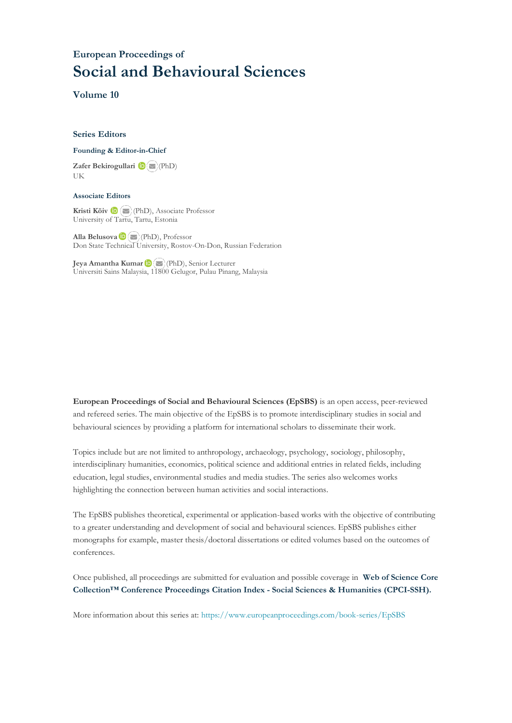### **European Proceedings of Social and Behavioural Sciences**

**Volume 10**

#### **Series Editors**

#### **Founding & Editor-in-Chief**

**Zafer Bekirogullari**(PhD) UK

#### **Associate Editors**

**Kristi Köiv** (PhD), Associate Professor University of Tartu, Tartu, Estonia

**Alla Belusova**(PhD), Professor Don State Technical University, Rostov-On-Don, Russian Federation

**Jeya Amantha Kumar**(PhD), Senior Lecturer Universiti Sains Malaysia, [1180](mailto:amantha@usm.my)0 Gelugor, Pulau Pinang, Malaysia

**European Proceedings of Social and Behavioural Sciences (EpSBS)** is an open access, peer-reviewed and refereed series. The main objective of the EpSBS is to promote interdisciplinary studies in social and behavioural sciences by providing a platform for international scholars to disseminate their work.

Topics include but are not limited to anthropology, archaeology, psychology, sociology, philosophy, interdisciplinary humanities, economics, political science and additional entries in related fields, including education, legal studies, environmental studies and media studies. The series also welcomes works highlighting the connection between human activities and social interactions.

The EpSBS publishes theoretical, experimental or application-based works with the objective of contributing to a greater understanding and development of social and behavioural sciences. EpSBS publishes either monographs for example, master thesis/doctoral dissertations or edited volumes based on the outcomes of conferences.

Once published, all proceedings are submitted for evaluation and possible coverage in **Web of [Science](https://clarivate.com/webofsciencegroup/solutions/webofscience-cpci/) Core Collection™ Conference Proceedings Citation Index - Social Sciences & Humanities [\(CPCI-SSH\).](https://clarivate.com/webofsciencegroup/solutions/webofscience-cpci/)**

More information about this series at[: https://www.europeanproceedings.com/book-series/EpSBS](https://www.europeanproceedings.com/book-series/EpSBS)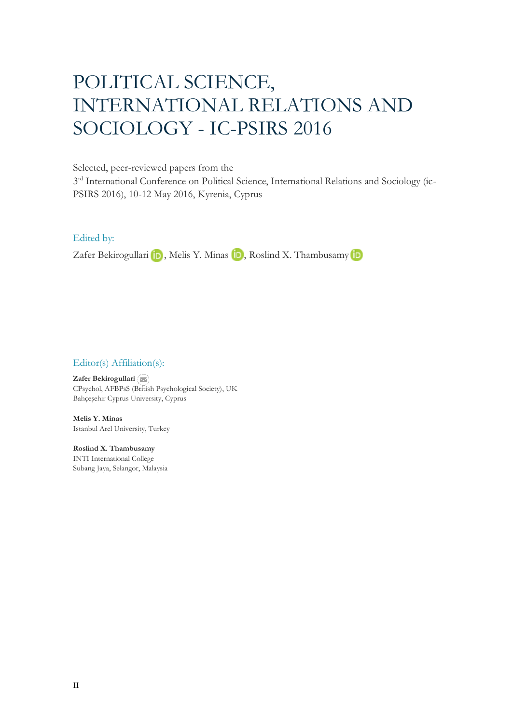# POLITICAL SCIENCE, INTERNATIONAL RELATIONS AND SOCIOLOGY - IC-PSIRS 2016

Selected, peer-reviewed papers from the

3<sup>rd</sup> International Conference on Political Science, International Relations and Sociology (ic-PSIRS 2016), 10-12 May 2016, Kyrenia, Cyprus

Edited by:

ZaferBekirogullari **in**, Melis Y. Minas **in**, Roslind X. Thambusamy in

#### Editor(s) Affiliation(s):

**Zafer Bekirogullari** CPsychol, AFBPsS ([Britis](mailto:zafer.bekirogullari@cyprus.bau.edu.tr)h Psychological Society), UK Bahçeşehir Cyprus University, Cyprus

**Melis Y. Minas** Istanbul Arel University, Turkey

**Roslind X. Thambusamy** INTI International College Subang Jaya, Selangor, Malaysia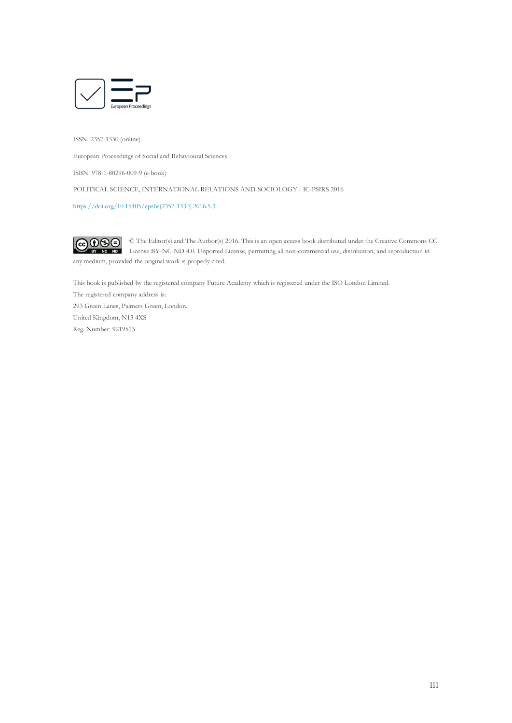

ISSN: 2357-1330 (online).

European Proceedings of Social and Behavioural Sciences

ISBN: 978-1-80296-009-9 (e-book)

POLITICAL SCIENCE, INTERNATIONAL RELATIONS AND SOCIOLOGY - IC-PSIRS 2016

[https://doi.org/10.15405/epsbs\(2357-1330\).2016.5.3](https://doi.org/10.15405/epsbs(2357-1330).2016.5.3)

 $\odot$   $\odot$   $\odot$ © The Editor(s) and The Author(s) 2016. This is an open access book distributed under the Creative Commons CC License BY-NC-ND 4.0. Unported License, permitting all non-commercial use, distribution, and reproduction in any medium, provided the original work is properly cited.

This book is published by the registered company Future Academy which is registered under the ISO London Limited.

The registered company address is: 293 Green Lanes, Palmers Green, London, United Kingdom, N13 4XS Reg. Number: 9219513